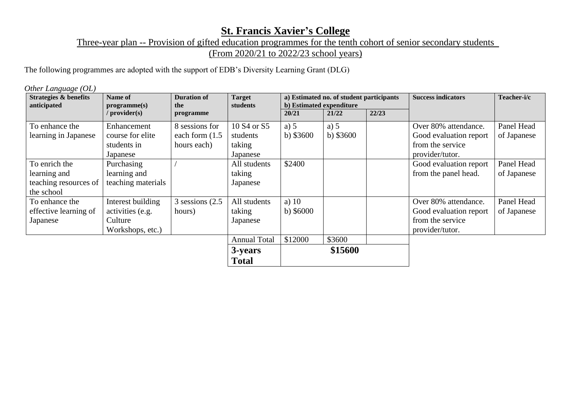## **St. Francis Xavier's College**

Three-year plan -- Provision of gifted education programmes for the tenth cohort of senior secondary students

(From 2020/21 to 2022/23 school years)

The following programmes are adopted with the support of EDB's Diversity Learning Grant (DLG)

*Other Language (OL)*

| <b>Strategies &amp; benefits</b><br>anticipated                      | Name of<br>programme(s)                                              | <b>Duration of</b><br>the                          | <b>Target</b><br>students                                             | a) Estimated no. of student participants<br>b) Estimated expenditure |                      |       | <b>Success indicators</b>                                                             | Teacher-i/c               |
|----------------------------------------------------------------------|----------------------------------------------------------------------|----------------------------------------------------|-----------------------------------------------------------------------|----------------------------------------------------------------------|----------------------|-------|---------------------------------------------------------------------------------------|---------------------------|
|                                                                      | / provider(s)                                                        | programme                                          |                                                                       | 20/21                                                                | 21/22                | 22/23 |                                                                                       |                           |
| To enhance the<br>learning in Japanese                               | Enhancement<br>course for elite<br>students in<br>Japanese           | 8 sessions for<br>each form $(1.5)$<br>hours each) | 10 S <sub>4</sub> or S <sub>5</sub><br>students<br>taking<br>Japanese | a) $5$<br>b) $$3600$                                                 | a) $5$<br>b) $$3600$ |       | Over 80% attendance.<br>Good evaluation report<br>from the service<br>provider/tutor. | Panel Head<br>of Japanese |
| To enrich the<br>learning and<br>teaching resources of<br>the school | Purchasing<br>learning and<br>teaching materials                     |                                                    | All students<br>taking<br>Japanese                                    | \$2400                                                               |                      |       | Good evaluation report<br>from the panel head.                                        | Panel Head<br>of Japanese |
| To enhance the<br>effective learning of<br>Japanese                  | Interest building<br>activities (e.g.<br>Culture<br>Workshops, etc.) | $3$ sessions $(2.5)$<br>hours)                     | All students<br>taking<br>Japanese                                    | a) $10$<br>b) $$6000$                                                |                      |       | Over 80% attendance.<br>Good evaluation report<br>from the service<br>provider/tutor. | Panel Head<br>of Japanese |
|                                                                      |                                                                      |                                                    | <b>Annual Total</b><br>3-years<br><b>Total</b>                        | \$12000                                                              | \$3600<br>\$15600    |       |                                                                                       |                           |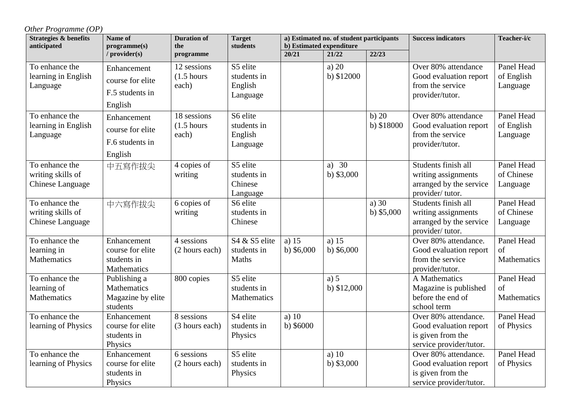*Other Programme (OP)*

| <b>Strategies &amp; benefits</b><br>anticipated         | Name of<br>programme(s)                                       | <b>Duration of</b><br>the                     | <b>Target</b><br>students                      | a) Estimated no. of student participants<br>b) Estimated expenditure |                        |                        | <b>Success indicators</b>                                                                      | Teacher-i/c                          |
|---------------------------------------------------------|---------------------------------------------------------------|-----------------------------------------------|------------------------------------------------|----------------------------------------------------------------------|------------------------|------------------------|------------------------------------------------------------------------------------------------|--------------------------------------|
|                                                         | / provider(s)                                                 | programme                                     |                                                | 20/21                                                                | 21/22                  | 22/23                  |                                                                                                |                                      |
| To enhance the<br>learning in English<br>Language       | Enhancement<br>course for elite<br>F.5 students in<br>English | 12 sessions<br>$(1.5 \text{ hours})$<br>each) | S5 elite<br>students in<br>English<br>Language |                                                                      | a) $20$<br>b) \$12000  |                        | Over 80% attendance<br>Good evaluation report<br>from the service<br>provider/tutor.           | Panel Head<br>of English<br>Language |
| To enhance the<br>learning in English<br>Language       | Enhancement<br>course for elite<br>F.6 students in<br>English | 18 sessions<br>$(1.5 \text{ hours})$<br>each) | S6 elite<br>students in<br>English<br>Language |                                                                      |                        | b) 20<br>b) \$18000    | Over 80% attendance<br>Good evaluation report<br>from the service<br>provider/tutor.           | Panel Head<br>of English<br>Language |
| To enhance the<br>writing skills of<br>Chinese Language | 中五寫作拔尖                                                        | 4 copies of<br>writing                        | S5 elite<br>students in<br>Chinese<br>Language |                                                                      | a) $30$<br>b) $$3,000$ |                        | Students finish all<br>writing assignments<br>arranged by the service<br>provider/tutor.       | Panel Head<br>of Chinese<br>Language |
| To enhance the<br>writing skills of<br>Chinese Language | 中六寫作拔尖                                                        | 6 copies of<br>writing                        | S6 elite<br>students in<br>Chinese             |                                                                      |                        | a) $30$<br>b) $$5,000$ | Students finish all<br>writing assignments<br>arranged by the service<br>provider/tutor.       | Panel Head<br>of Chinese<br>Language |
| To enhance the<br>learning in<br>Mathematics            | Enhancement<br>course for elite<br>students in<br>Mathematics | 4 sessions<br>(2 hours each)                  | S4 & S5 elite<br>students in<br>Maths          | a) $15$<br>b) $$6,000$                                               | a) $15$<br>b) $$6,000$ |                        | Over 80% attendance.<br>Good evaluation report<br>from the service<br>provider/tutor.          | Panel Head<br>of<br>Mathematics      |
| To enhance the<br>learning of<br>Mathematics            | Publishing a<br>Mathematics<br>Magazine by elite<br>students  | 800 copies                                    | S5 elite<br>students in<br>Mathematics         |                                                                      | a) 5<br>b) $$12,000$   |                        | A Mathematics<br>Magazine is published<br>before the end of<br>school term                     | Panel Head<br>of<br>Mathematics      |
| To enhance the<br>learning of Physics                   | Enhancement<br>course for elite<br>students in<br>Physics     | 8 sessions<br>(3 hours each)                  | S4 elite<br>students in<br>Physics             | a) $10$<br>$b)$ \$6000                                               |                        |                        | Over 80% attendance.<br>Good evaluation report<br>is given from the<br>service provider/tutor. | Panel Head<br>of Physics             |
| To enhance the<br>learning of Physics                   | Enhancement<br>course for elite<br>students in<br>Physics     | 6 sessions<br>(2 hours each)                  | S5 elite<br>students in<br>Physics             |                                                                      | a) $10$<br>b) $$3,000$ |                        | Over 80% attendance.<br>Good evaluation report<br>is given from the<br>service provider/tutor. | Panel Head<br>of Physics             |